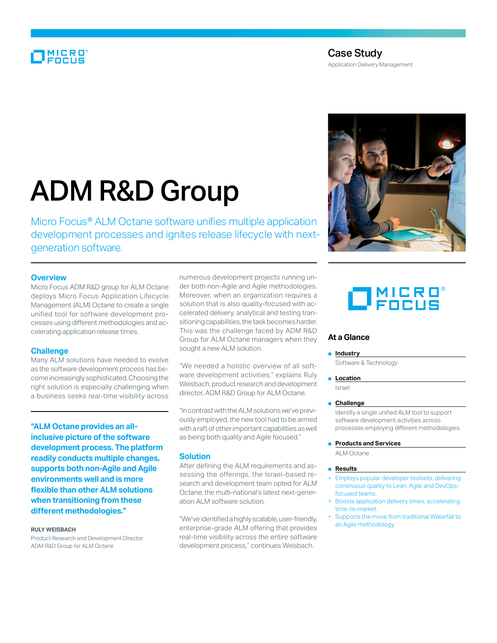# MICRO<br>Encus

# Case Study

Application Delivery Management

# ADM R&D Group

Micro Focus® ALM Octane software unifies multiple application development processes and ignites release lifecycle with nextgeneration software.

## **Overview**

Micro Focus ADM R&D group for ALM Octane deploys Micro Focus Application Lifecycle Management (ALM) Octane to create a single unified tool for software development processes using different methodologies and accelerating application release times.

# **Challenge**

Many ALM solutions have needed to evolve as the software development process has become increasingly sophisticated. Choosing the right solution is especially challenging when a business seeks real-time visibility across

**"ALM Octane provides an allinclusive picture of the software development process. The platform readily conducts multiple changes, supports both non-Agile and Agile environments well and is more flexible than other ALM solutions when transitioning from these different methodologies."**

#### **Ruly Weisbach**

Product Research and Development Director ADM R&D Group for ALM Octane

numerous development projects running under both non-Agile and Agile methodologies. Moreover, when an organization requires a solution that is also quality-focused with accelerated delivery, analytical and testing transitioning capabilities, the task becomes harder. This was the challenge faced by ADM R&D Group for ALM Octane managers when they sought a new ALM solution.

"We needed a holistic overview of all software development activities," explains Ruly Weisbach, product research and development director, ADM R&D Group for ALM Octane.

"In contrast with the ALM solutions we've previously employed, the new tool had to be armed with a raft of other important capabilities as well as being both quality and Agile focused."

### **Solution**

After defining the ALM requirements and assessing the offerings, the Israel-based research and development team opted for ALM Octane, the multi-national's latest next-generation ALM software solution.

"We've identified a highly scalable, user-friendly, enterprise-grade ALM offering that provides real-time visibility across the entire software development process," continues Weisbach.



# $\Box$ MICRO®

# **At a Glance**

#### ■ **Industry**

Software & Technology

■ **Location** 

Israel

## ■ **Challenge**

Identify a single unified ALM tool to support software development activities across processes employing different methodologies.

#### ■ **Products and Services**

ALM Octane

#### ■ **Results**

- Employs popular developer toolsets, delivering continuous quality to Lean, Agile and DevOpsfocused teams.
- + Boosts application delivery times, accelerating time-to-market.
- Supports the move from traditional Waterfall to an Agile methodology.